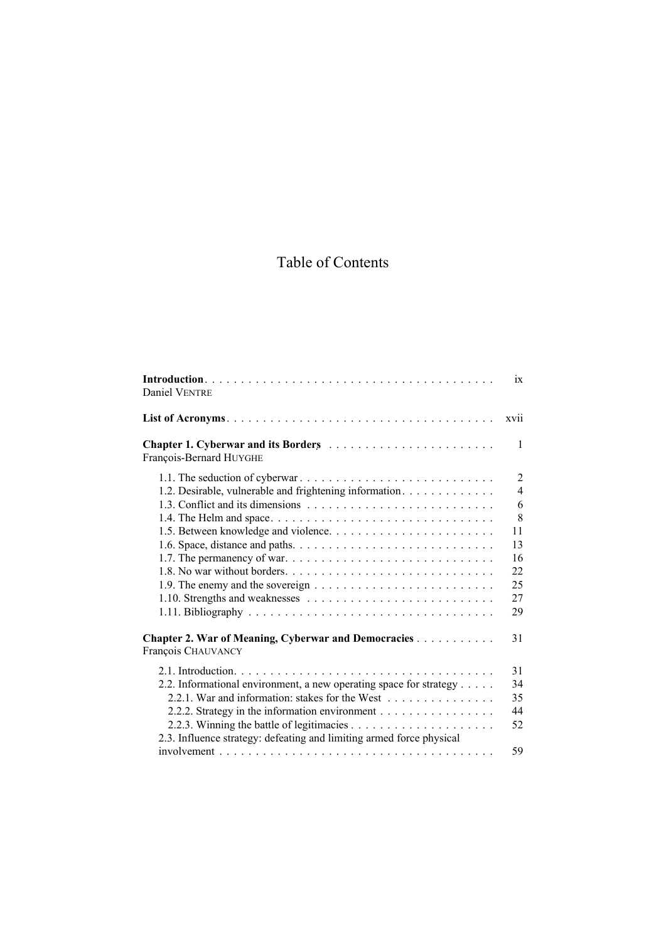## Table of Contents

| Daniel VENTRE                                                                                                                                                                                                                                   | 1X                                                                                   |
|-------------------------------------------------------------------------------------------------------------------------------------------------------------------------------------------------------------------------------------------------|--------------------------------------------------------------------------------------|
|                                                                                                                                                                                                                                                 | xvii                                                                                 |
| Chapter 1. Cyberwar and its Borders<br>François-Bernard HUYGHE                                                                                                                                                                                  | $\mathbf{1}$                                                                         |
| 1.2. Desirable, vulnerable and frightening information.                                                                                                                                                                                         | $\overline{2}$<br>$\overline{4}$<br>6<br>8<br>11<br>13<br>16<br>22<br>25<br>27<br>29 |
| <b>Chapter 2. War of Meaning, Cyberwar and Democracies </b><br>François CHAUVANCY                                                                                                                                                               | 31                                                                                   |
| 2.2. Informational environment, a new operating space for strategy<br>2.2.1. War and information: stakes for the West<br>2.2.2. Strategy in the information environment<br>2.3. Influence strategy: defeating and limiting armed force physical | 31<br>34<br>35<br>44<br>52                                                           |
|                                                                                                                                                                                                                                                 | 59                                                                                   |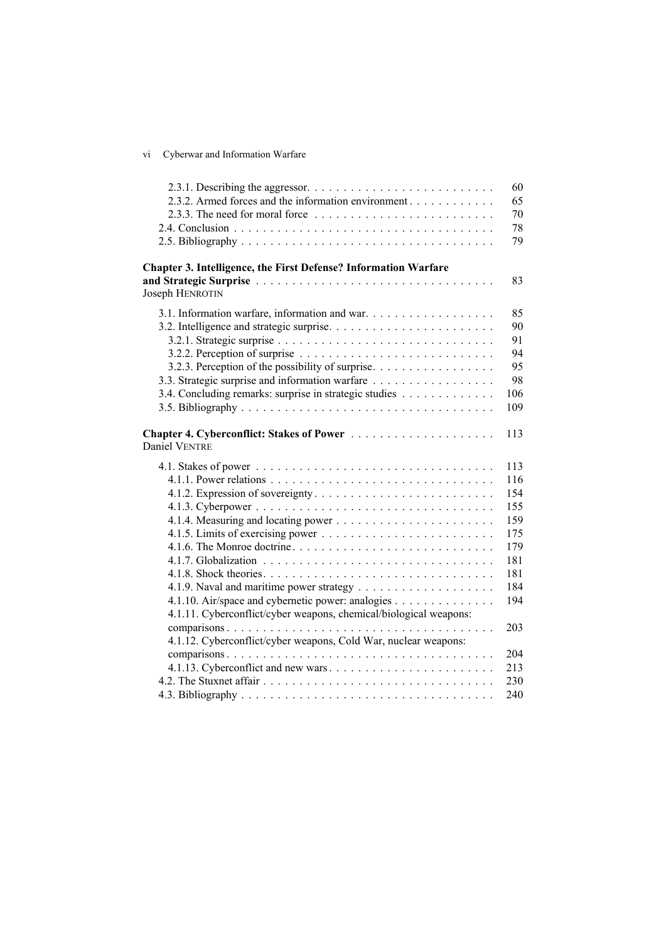| V1 |  | Cyberwar and Information Warfare |  |
|----|--|----------------------------------|--|
|    |  |                                  |  |

| 2.3.2. Armed forces and the information environment                                           |  |
|-----------------------------------------------------------------------------------------------|--|
| 2.3.3. The need for moral force $\dots \dots \dots \dots \dots \dots \dots \dots \dots \dots$ |  |
|                                                                                               |  |
|                                                                                               |  |
| Chapter 3. Intelligence, the First Defense? Information Warfare                               |  |
| Joseph HENROTIN                                                                               |  |
| 3.1. Information warfare, information and war.                                                |  |
|                                                                                               |  |
|                                                                                               |  |
|                                                                                               |  |
| 3.2.3. Perception of the possibility of surprise.                                             |  |
| 3.3. Strategic surprise and information warfare                                               |  |
| 3.4. Concluding remarks: surprise in strategic studies                                        |  |
|                                                                                               |  |
| Daniel VENTRE                                                                                 |  |
|                                                                                               |  |
|                                                                                               |  |
|                                                                                               |  |
|                                                                                               |  |
|                                                                                               |  |
|                                                                                               |  |
|                                                                                               |  |
|                                                                                               |  |
|                                                                                               |  |
| 4.1.10. Air/space and cybernetic power: analogies                                             |  |
| 4.1.11. Cyberconflict/cyber weapons, chemical/biological weapons:                             |  |
|                                                                                               |  |
| 4.1.12. Cyberconflict/cyber weapons, Cold War, nuclear weapons:                               |  |
|                                                                                               |  |
| 4.1.13. Cyberconflict and new wars                                                            |  |
|                                                                                               |  |
|                                                                                               |  |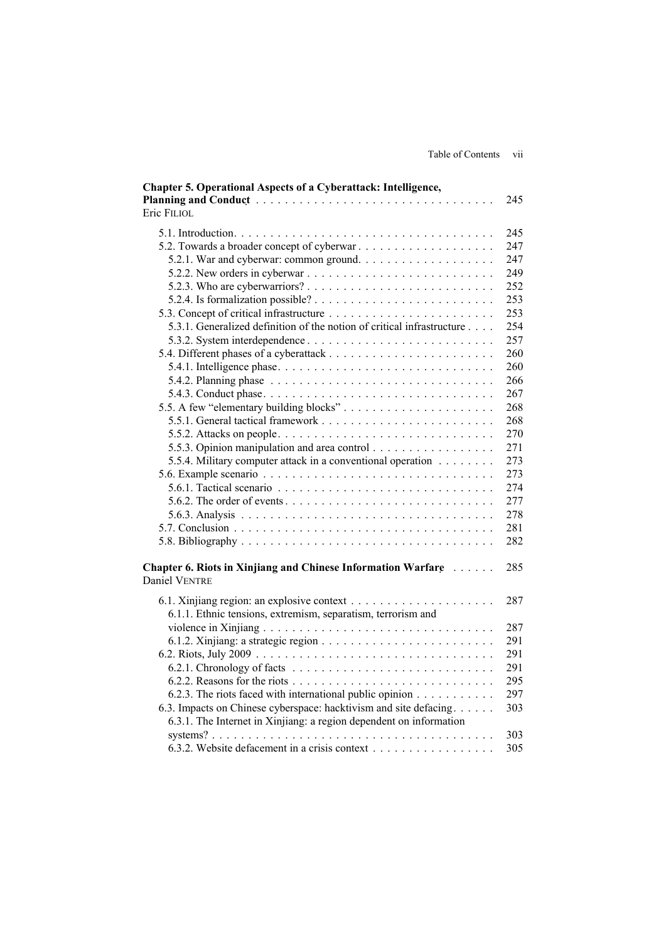| Chapter 5. Operational Aspects of a Cyberattack: Intelligence,                         |     |
|----------------------------------------------------------------------------------------|-----|
|                                                                                        | 245 |
| Eric FILIOL                                                                            |     |
|                                                                                        | 245 |
| 5.2. Towards a broader concept of cyberwar                                             | 247 |
|                                                                                        | 247 |
|                                                                                        | 249 |
|                                                                                        | 252 |
|                                                                                        | 253 |
|                                                                                        | 253 |
| 5.3.1. Generalized definition of the notion of critical infrastructure                 | 254 |
|                                                                                        | 257 |
|                                                                                        | 260 |
|                                                                                        | 260 |
| 5.4.2. Planning phase $\ldots \ldots \ldots \ldots \ldots \ldots \ldots \ldots \ldots$ | 266 |
|                                                                                        | 267 |
| 5.5. A few "elementary building blocks"                                                | 268 |
|                                                                                        | 268 |
|                                                                                        | 270 |
| 5.5.3. Opinion manipulation and area control                                           | 271 |
| 5.5.4. Military computer attack in a conventional operation                            | 273 |
|                                                                                        | 273 |
|                                                                                        | 274 |
|                                                                                        | 277 |
|                                                                                        | 278 |
|                                                                                        | 281 |
|                                                                                        | 282 |
|                                                                                        |     |
| Chapter 6. Riots in Xinjiang and Chinese Information Warfare                           | 285 |
| <b>Daniel VENTRE</b>                                                                   |     |
|                                                                                        | 287 |
| 6.1.1. Ethnic tensions, extremism, separatism, terrorism and                           |     |
|                                                                                        | 287 |
|                                                                                        | 291 |
|                                                                                        | 291 |
|                                                                                        | 291 |
|                                                                                        | 295 |
| 6.2.3. The riots faced with international public opinion                               | 297 |
| 6.3. Impacts on Chinese cyberspace: hacktivism and site defacing.                      | 303 |
| 6.3.1. The Internet in Xinjiang: a region dependent on information                     |     |
|                                                                                        | 303 |
| 6.3.2. Website defacement in a crisis context                                          | 305 |
|                                                                                        |     |